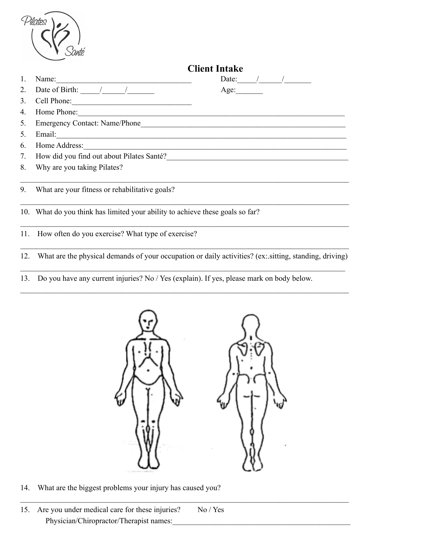| Pilates |  |
|---------|--|
|         |  |
| Santé   |  |
|         |  |

|                | <b>Client Intake</b>                                                                                                                                                                                                                                                                                                                                                                                              |      |  |                                                                                                                                                                                                                                                                                                       |  |
|----------------|-------------------------------------------------------------------------------------------------------------------------------------------------------------------------------------------------------------------------------------------------------------------------------------------------------------------------------------------------------------------------------------------------------------------|------|--|-------------------------------------------------------------------------------------------------------------------------------------------------------------------------------------------------------------------------------------------------------------------------------------------------------|--|
| 1.             | Name:                                                                                                                                                                                                                                                                                                                                                                                                             |      |  | Date: $\frac{1}{2}$ / $\frac{1}{2}$ / $\frac{1}{2}$ / $\frac{1}{2}$ / $\frac{1}{2}$ / $\frac{1}{2}$ / $\frac{1}{2}$ / $\frac{1}{2}$ / $\frac{1}{2}$ / $\frac{1}{2}$ / $\frac{1}{2}$ / $\frac{1}{2}$ / $\frac{1}{2}$ / $\frac{1}{2}$ / $\frac{1}{2}$ / $\frac{1}{2}$ / $\frac{1}{2}$ / $\frac{1}{2}$ / |  |
| 2.             | Date of Birth: $\frac{1}{\sqrt{1-\frac{1}{2}}}\frac{1}{\sqrt{1-\frac{1}{2}}}\frac{1}{\sqrt{1-\frac{1}{2}}}\frac{1}{\sqrt{1-\frac{1}{2}}}\frac{1}{\sqrt{1-\frac{1}{2}}}\frac{1}{\sqrt{1-\frac{1}{2}}}\frac{1}{\sqrt{1-\frac{1}{2}}}\frac{1}{\sqrt{1-\frac{1}{2}}}\frac{1}{\sqrt{1-\frac{1}{2}}}\frac{1}{\sqrt{1-\frac{1}{2}}}\frac{1}{\sqrt{1-\frac{1}{2}}}\frac{1}{\sqrt{1-\frac{1}{2}}}\frac{1}{\sqrt{1-\frac{1$ | Age: |  |                                                                                                                                                                                                                                                                                                       |  |
| 3.             |                                                                                                                                                                                                                                                                                                                                                                                                                   |      |  |                                                                                                                                                                                                                                                                                                       |  |
| 4.             | Home Phone:                                                                                                                                                                                                                                                                                                                                                                                                       |      |  |                                                                                                                                                                                                                                                                                                       |  |
| 5 <sub>1</sub> |                                                                                                                                                                                                                                                                                                                                                                                                                   |      |  |                                                                                                                                                                                                                                                                                                       |  |
| 5.             |                                                                                                                                                                                                                                                                                                                                                                                                                   |      |  |                                                                                                                                                                                                                                                                                                       |  |
| 6.             | Home Address: New York Changes and The Address of the Address of the Address of the Address of the Address of the Address of the Address of the Address of the Address of the Address of the Address of the Address of the Add                                                                                                                                                                                    |      |  |                                                                                                                                                                                                                                                                                                       |  |
|                | 7. How did you find out about Pilates Santé?                                                                                                                                                                                                                                                                                                                                                                      |      |  |                                                                                                                                                                                                                                                                                                       |  |
| 8.             | Why are you taking Pilates?                                                                                                                                                                                                                                                                                                                                                                                       |      |  |                                                                                                                                                                                                                                                                                                       |  |
| 9.             | What are your fitness or rehabilitative goals?                                                                                                                                                                                                                                                                                                                                                                    |      |  |                                                                                                                                                                                                                                                                                                       |  |
|                | 10. What do you think has limited your ability to achieve these goals so far?                                                                                                                                                                                                                                                                                                                                     |      |  |                                                                                                                                                                                                                                                                                                       |  |
|                | 11. How often do you exercise? What type of exercise?                                                                                                                                                                                                                                                                                                                                                             |      |  |                                                                                                                                                                                                                                                                                                       |  |
|                | 12. What are the physical demands of your occupation or daily activities? (ex: sitting, standing, driving)                                                                                                                                                                                                                                                                                                        |      |  |                                                                                                                                                                                                                                                                                                       |  |

13. Do you have any current injuries? No / Yes (explain). If yes, please mark on body below.

 $\mathcal{L}_\text{max} = \mathcal{L}_\text{max} = \mathcal{L}_\text{max} = \mathcal{L}_\text{max} = \mathcal{L}_\text{max} = \mathcal{L}_\text{max} = \mathcal{L}_\text{max} = \mathcal{L}_\text{max} = \mathcal{L}_\text{max} = \mathcal{L}_\text{max} = \mathcal{L}_\text{max} = \mathcal{L}_\text{max} = \mathcal{L}_\text{max} = \mathcal{L}_\text{max} = \mathcal{L}_\text{max} = \mathcal{L}_\text{max} = \mathcal{L}_\text{max} = \mathcal{L}_\text{max} = \mathcal{$ 



 $\mathcal{L}_\text{max} = \mathcal{L}_\text{max} = \mathcal{L}_\text{max} = \mathcal{L}_\text{max} = \mathcal{L}_\text{max} = \mathcal{L}_\text{max} = \mathcal{L}_\text{max} = \mathcal{L}_\text{max} = \mathcal{L}_\text{max} = \mathcal{L}_\text{max} = \mathcal{L}_\text{max} = \mathcal{L}_\text{max} = \mathcal{L}_\text{max} = \mathcal{L}_\text{max} = \mathcal{L}_\text{max} = \mathcal{L}_\text{max} = \mathcal{L}_\text{max} = \mathcal{L}_\text{max} = \mathcal{$ 

14. What are the biggest problems your injury has caused you?